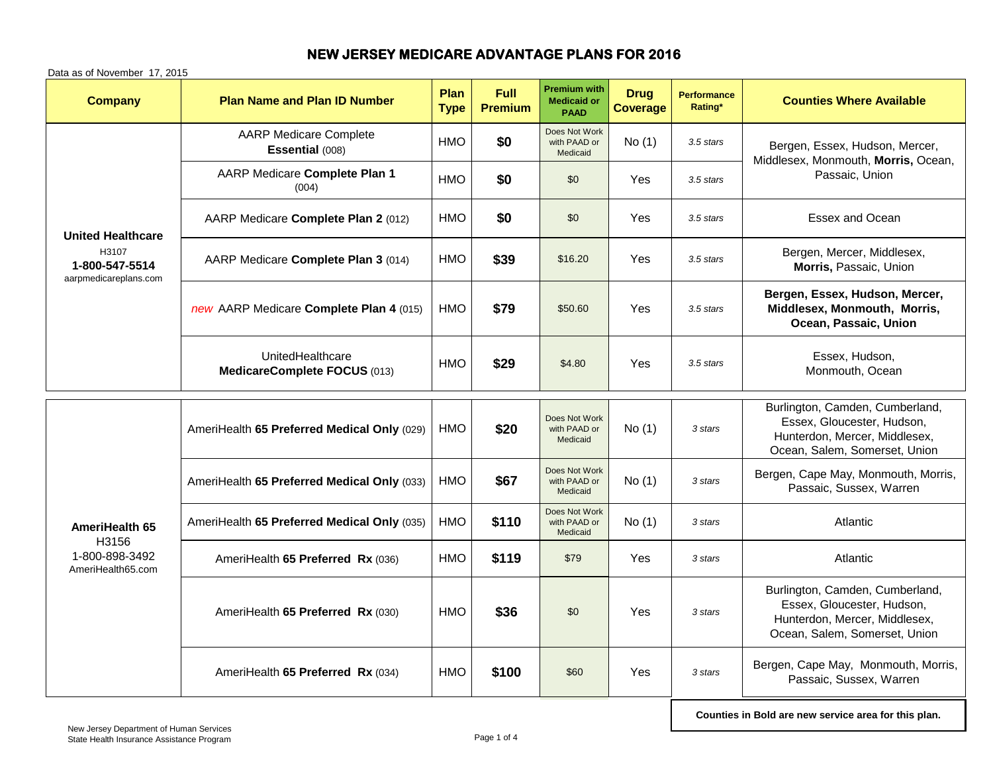| <b>Company</b>                                                               | <b>Plan Name and Plan ID Number</b>              | <b>Plan</b><br><b>Type</b> | Full<br><b>Premium</b> | <b>Premium with</b><br><b>Medicaid or</b><br><b>PAAD</b> | <b>Drug</b><br><b>Coverage</b> | <b>Performance</b><br>Rating* | <b>Counties Where Available</b>                                                                                                 |
|------------------------------------------------------------------------------|--------------------------------------------------|----------------------------|------------------------|----------------------------------------------------------|--------------------------------|-------------------------------|---------------------------------------------------------------------------------------------------------------------------------|
| <b>United Healthcare</b><br>H3107<br>1-800-547-5514<br>aarpmedicareplans.com | <b>AARP Medicare Complete</b><br>Essential (008) | HMO                        | \$0                    | Does Not Work<br>with PAAD or<br>Medicaid                | No(1)                          | 3.5 stars                     | Bergen, Essex, Hudson, Mercer,<br>Middlesex, Monmouth, Morris, Ocean,<br>Passaic, Union                                         |
|                                                                              | AARP Medicare Complete Plan 1<br>(004)           | <b>HMO</b>                 | \$0                    | \$0                                                      | Yes                            | 3.5 stars                     |                                                                                                                                 |
|                                                                              | AARP Medicare Complete Plan 2 (012)              | <b>HMO</b>                 | \$0                    | \$0                                                      | Yes                            | 3.5 stars                     | <b>Essex and Ocean</b>                                                                                                          |
|                                                                              | AARP Medicare Complete Plan 3 (014)              | HMO                        | \$39                   | \$16.20                                                  | Yes                            | 3.5 stars                     | Bergen, Mercer, Middlesex,<br>Morris, Passaic, Union                                                                            |
|                                                                              | new AARP Medicare Complete Plan 4 (015)          | HMO                        | \$79                   | \$50.60                                                  | Yes                            | 3.5 stars                     | Bergen, Essex, Hudson, Mercer,<br>Middlesex, Monmouth, Morris,<br>Ocean, Passaic, Union                                         |
|                                                                              | UnitedHealthcare<br>MedicareComplete FOCUS (013) | <b>HMO</b>                 | \$29                   | \$4.80                                                   | Yes                            | 3.5 stars                     | Essex, Hudson,<br>Monmouth, Ocean                                                                                               |
| AmeriHealth 65<br>H3156<br>1-800-898-3492<br>AmeriHealth65.com               | AmeriHealth 65 Preferred Medical Only (029)      | <b>HMO</b>                 | \$20                   | Does Not Work<br>with PAAD or<br>Medicaid                | No(1)                          | 3 stars                       | Burlington, Camden, Cumberland,<br>Essex, Gloucester, Hudson,<br>Hunterdon, Mercer, Middlesex,<br>Ocean, Salem, Somerset, Union |
|                                                                              | AmeriHealth 65 Preferred Medical Only (033)      | HMO                        | \$67                   | Does Not Work<br>with PAAD or<br>Medicaid                | No(1)                          | 3 stars                       | Bergen, Cape May, Monmouth, Morris,<br>Passaic, Sussex, Warren                                                                  |
|                                                                              | AmeriHealth 65 Preferred Medical Only (035)      | HMO                        | \$110                  | Does Not Work<br>with PAAD or<br>Medicaid                | No(1)                          | 3 stars                       | Atlantic                                                                                                                        |
|                                                                              | AmeriHealth 65 Preferred Rx (036)                | <b>HMO</b>                 | \$119                  | \$79                                                     | <b>Yes</b>                     | 3 stars                       | Atlantic                                                                                                                        |
|                                                                              | AmeriHealth 65 Preferred Rx (030)                | HMO                        | \$36                   | \$0                                                      | Yes                            | 3 stars                       | Burlington, Camden, Cumberland,<br>Essex, Gloucester, Hudson,<br>Hunterdon, Mercer, Middlesex,<br>Ocean, Salem, Somerset, Union |
|                                                                              | AmeriHealth 65 Preferred Rx (034)                | <b>HMO</b>                 | \$100                  | \$60                                                     | Yes                            | 3 stars                       | Bergen, Cape May, Monmouth, Morris,<br>Passaic, Sussex, Warren                                                                  |

Data as of November 17, 2015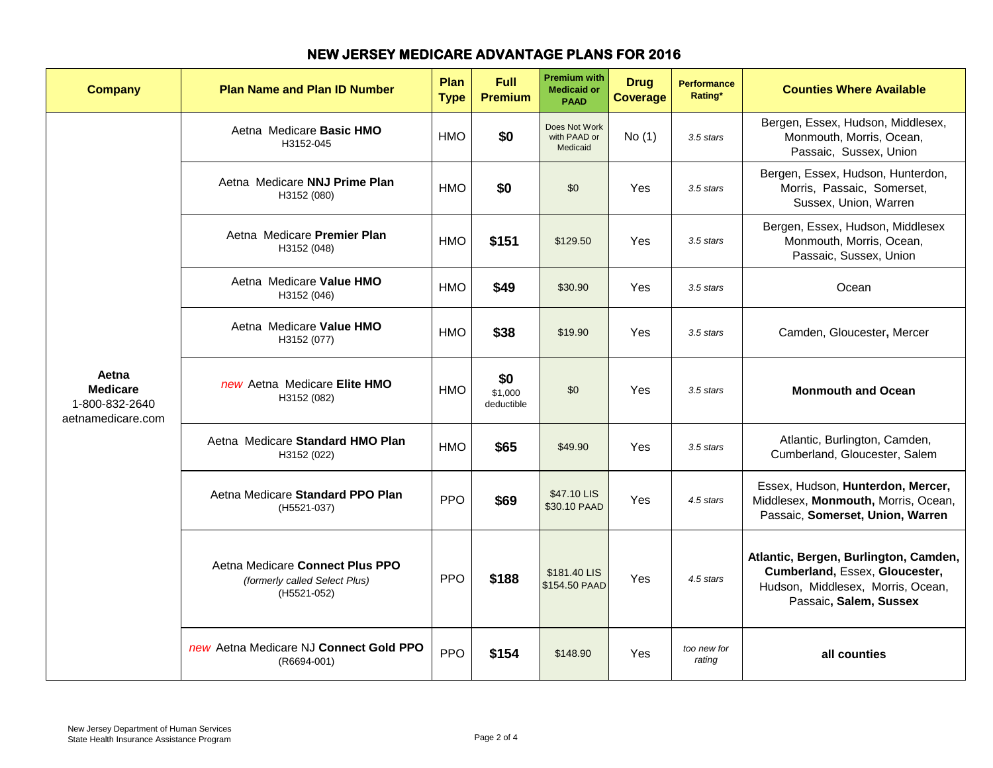| <b>Company</b>                                                  | <b>Plan Name and Plan ID Number</b>                                             | Plan<br><b>Type</b> | Full<br><b>Premium</b>       | <b>Premium with</b><br><b>Medicaid or</b><br><b>PAAD</b> | <b>Drug</b><br><b>Coverage</b> | <b>Performance</b><br>Rating* | <b>Counties Where Available</b>                                                                                                        |
|-----------------------------------------------------------------|---------------------------------------------------------------------------------|---------------------|------------------------------|----------------------------------------------------------|--------------------------------|-------------------------------|----------------------------------------------------------------------------------------------------------------------------------------|
| Aetna<br><b>Medicare</b><br>1-800-832-2640<br>aetnamedicare.com | Aetna Medicare Basic HMO<br>H3152-045                                           | <b>HMO</b>          | \$0                          | Does Not Work<br>with PAAD or<br>Medicaid                | No(1)                          | 3.5 stars                     | Bergen, Essex, Hudson, Middlesex,<br>Monmouth, Morris, Ocean,<br>Passaic, Sussex, Union                                                |
|                                                                 | Aetna Medicare NNJ Prime Plan<br>H3152 (080)                                    | <b>HMO</b>          | \$0                          | \$0                                                      | Yes                            | 3.5 stars                     | Bergen, Essex, Hudson, Hunterdon,<br>Morris, Passaic, Somerset,<br>Sussex, Union, Warren                                               |
|                                                                 | Aetna Medicare Premier Plan<br>H3152 (048)                                      | <b>HMO</b>          | \$151                        | \$129.50                                                 | Yes                            | 3.5 stars                     | Bergen, Essex, Hudson, Middlesex<br>Monmouth, Morris, Ocean,<br>Passaic, Sussex, Union                                                 |
|                                                                 | Aetna Medicare Value HMO<br>H3152 (046)                                         | HMO                 | \$49                         | \$30.90                                                  | Yes                            | 3.5 stars                     | Ocean                                                                                                                                  |
|                                                                 | Aetna Medicare Value HMO<br>H3152 (077)                                         | HMO                 | \$38                         | \$19.90                                                  | Yes                            | 3.5 stars                     | Camden, Gloucester, Mercer                                                                                                             |
|                                                                 | new Aetna Medicare Elite HMO<br>H3152 (082)                                     | <b>HMO</b>          | \$0<br>\$1,000<br>deductible | \$0                                                      | Yes                            | 3.5 stars                     | <b>Monmouth and Ocean</b>                                                                                                              |
|                                                                 | Aetna Medicare Standard HMO Plan<br>H3152 (022)                                 | <b>HMO</b>          | \$65                         | \$49.90                                                  | Yes                            | 3.5 stars                     | Atlantic, Burlington, Camden,<br>Cumberland, Gloucester, Salem                                                                         |
|                                                                 | Aetna Medicare Standard PPO Plan<br>(H5521-037)                                 | <b>PPO</b>          | \$69                         | \$47.10 LIS<br>\$30.10 PAAD                              | Yes                            | 4.5 stars                     | Essex, Hudson, Hunterdon, Mercer,<br>Middlesex, Monmouth, Morris, Ocean,<br>Passaic, Somerset, Union, Warren                           |
|                                                                 | Aetna Medicare Connect Plus PPO<br>(formerly called Select Plus)<br>(H5521-052) | <b>PPO</b>          | \$188                        | \$181.40 LIS<br>\$154.50 PAAD                            | Yes                            | 4.5 stars                     | Atlantic, Bergen, Burlington, Camden,<br>Cumberland, Essex, Gloucester,<br>Hudson, Middlesex, Morris, Ocean,<br>Passaic, Salem, Sussex |
|                                                                 | new Aetna Medicare NJ Connect Gold PPO<br>(R6694-001)                           | <b>PPO</b>          | \$154                        | \$148.90                                                 | Yes                            | too new for<br>rating         | all counties                                                                                                                           |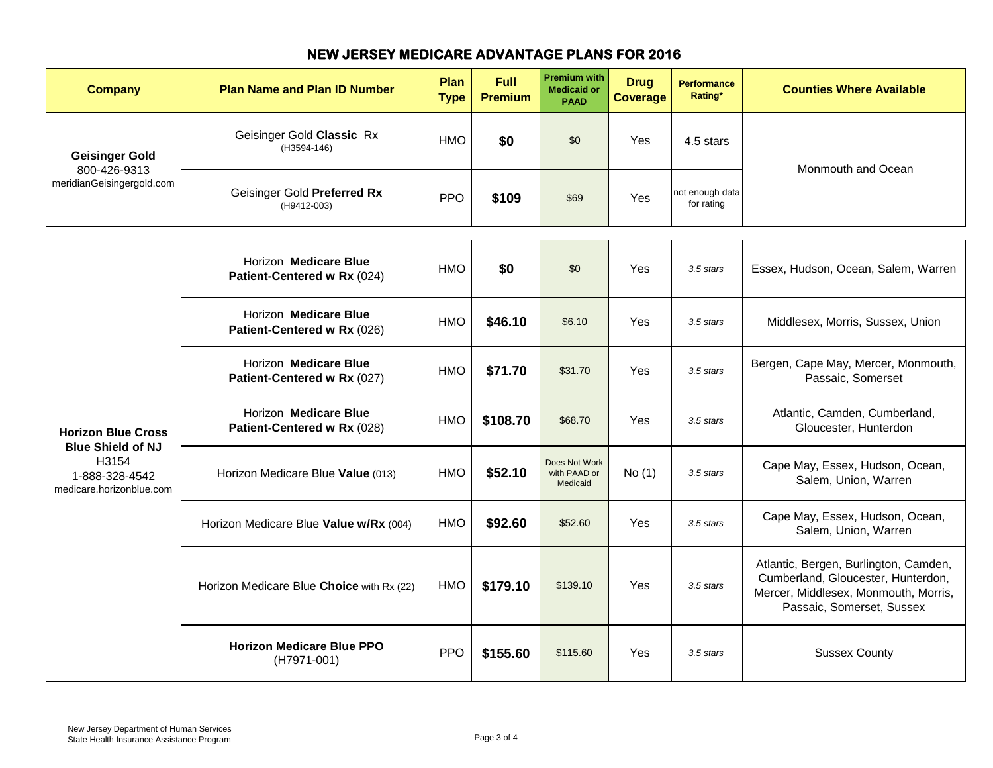| <b>Company</b>                                                                                               | <b>Plan Name and Plan ID Number</b>                  | Plan<br><b>Type</b> | <b>Full</b><br><b>Premium</b> | <b>Premium with</b><br><b>Medicaid or</b><br><b>PAAD</b> | <b>Drug</b><br><b>Coverage</b> | <b>Performance</b><br>Rating* | <b>Counties Where Available</b>                                                                                                                  |
|--------------------------------------------------------------------------------------------------------------|------------------------------------------------------|---------------------|-------------------------------|----------------------------------------------------------|--------------------------------|-------------------------------|--------------------------------------------------------------------------------------------------------------------------------------------------|
| <b>Geisinger Gold</b><br>800-426-9313<br>meridianGeisingergold.com                                           | Geisinger Gold Classic Rx<br>(H3594-146)             | <b>HMO</b>          | \$0                           | \$0                                                      | <b>Yes</b>                     | 4.5 stars                     | Monmouth and Ocean                                                                                                                               |
|                                                                                                              | Geisinger Gold Preferred Rx<br>(H9412-003)           | <b>PPO</b>          | \$109                         | \$69                                                     | Yes                            | not enough data<br>for rating |                                                                                                                                                  |
| <b>Horizon Blue Cross</b><br><b>Blue Shield of NJ</b><br>H3154<br>1-888-328-4542<br>medicare.horizonblue.com | Horizon Medicare Blue<br>Patient-Centered w Rx (024) | <b>HMO</b>          | \$0                           | \$0                                                      | Yes                            | 3.5 stars                     | Essex, Hudson, Ocean, Salem, Warren                                                                                                              |
|                                                                                                              | Horizon Medicare Blue<br>Patient-Centered w Rx (026) | <b>HMO</b>          | \$46.10                       | \$6.10                                                   | Yes                            | 3.5 stars                     | Middlesex, Morris, Sussex, Union                                                                                                                 |
|                                                                                                              | Horizon Medicare Blue<br>Patient-Centered w Rx (027) | <b>HMO</b>          | \$71.70                       | \$31.70                                                  | Yes                            | 3.5 stars                     | Bergen, Cape May, Mercer, Monmouth,<br>Passaic, Somerset                                                                                         |
|                                                                                                              | Horizon Medicare Blue<br>Patient-Centered w Rx (028) | <b>HMO</b>          | \$108.70                      | \$68.70                                                  | Yes                            | 3.5 stars                     | Atlantic, Camden, Cumberland,<br>Gloucester, Hunterdon                                                                                           |
|                                                                                                              | Horizon Medicare Blue Value (013)                    | <b>HMO</b>          | \$52.10                       | Does Not Work<br>with PAAD or<br>Medicaid                | No(1)                          | 3.5 stars                     | Cape May, Essex, Hudson, Ocean,<br>Salem, Union, Warren                                                                                          |
|                                                                                                              | Horizon Medicare Blue Value w/Rx (004)               | <b>HMO</b>          | \$92.60                       | \$52.60                                                  | <b>Yes</b>                     | 3.5 stars                     | Cape May, Essex, Hudson, Ocean,<br>Salem, Union, Warren                                                                                          |
|                                                                                                              | Horizon Medicare Blue Choice with Rx (22)            | <b>HMO</b>          | \$179.10                      | \$139.10                                                 | Yes                            | 3.5 stars                     | Atlantic, Bergen, Burlington, Camden,<br>Cumberland, Gloucester, Hunterdon,<br>Mercer, Middlesex, Monmouth, Morris,<br>Passaic, Somerset, Sussex |
|                                                                                                              | <b>Horizon Medicare Blue PPO</b><br>(H7971-001)      | <b>PPO</b>          | \$155.60                      | \$115.60                                                 | Yes                            | 3.5 stars                     | <b>Sussex County</b>                                                                                                                             |